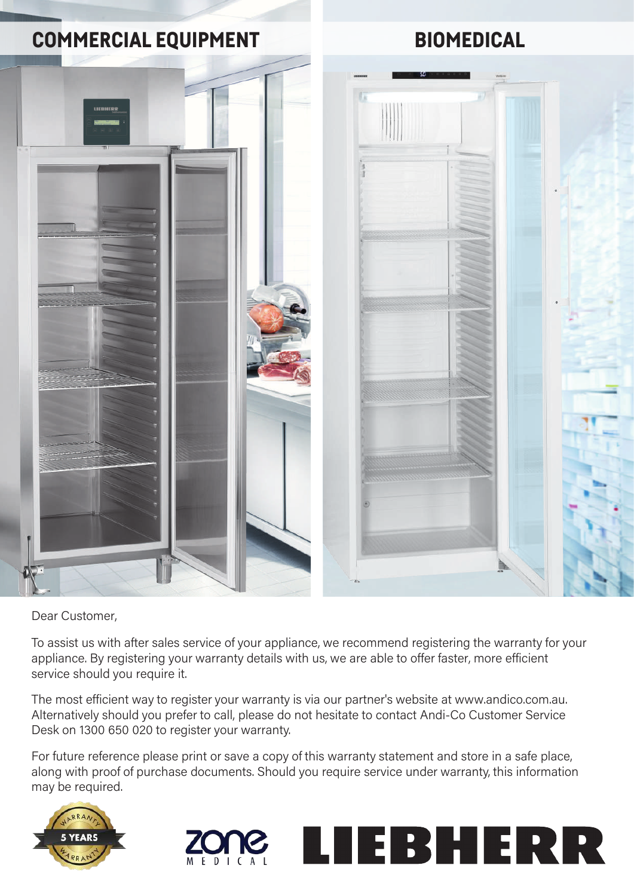

Dear Customer,

To assist us with after sales service of your appliance, we recommend registering the warranty for your appliance. By registering your warranty details with us, we are able to offer faster, more efficient service should you require it.

The most efficient way to register your warranty is via our partner's website at www.andico.com.au. Alternatively should you prefer to call, please do not hesitate to contact Andi-Co Customer Service Desk on 1300 650 020 to register your warranty.

For future reference please print or save a copy of this warranty statement and store in a safe place, along with proof of purchase documents. Should you require service under warranty, this information may be required.